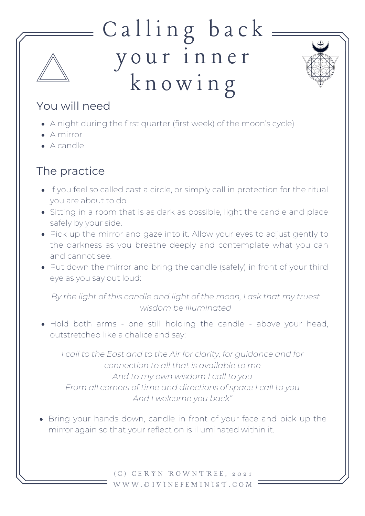## Calling back y o u r i n n er k n o w i n g



## You will need

- A night during the first quarter (first week) of the moon's cycle)
- A mirror
- A candle

## The practice

- If you feel so called cast a circle, or simply call in protection for the ritual you are about to do.
- Sitting in a room that is as dark as possible, light the candle and place safely by your side.
- Pick up the mirror and gaze into it. Allow your eyes to adjust gently to the darkness as you breathe deeply and contemplate what you can and cannot see.
- Put down the mirror and bring the candle (safely) in front of your third eye as you say out loud:

*By the light of this candle and light of the moon, I ask that my truest wisdom be illuminated*

Hold both arms - one still holding the candle - above your head, outstretched like a chalice and say:

*I call to the East and to the Air for clarity, for guidance and for connection to all that is available to me And to my own wisdom I call to you From all corners of time and directions of space I call to you And I welcome you back"*

• Bring your hands down, candle in front of your face and pick up the mirror again so that your reflection is illuminated within it.

> ( C ) C E R Y N R O W N T R E E , 2 0 2 1 W W W . D I V I N E F E M I N I S T . C O M